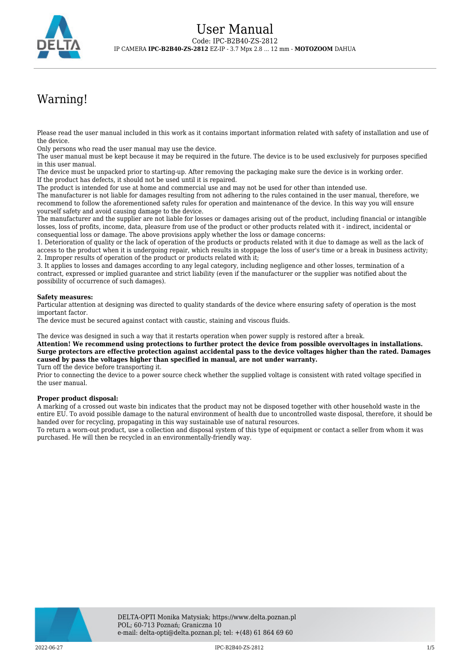

# Warning!

Please read the user manual included in this work as it contains important information related with safety of installation and use of the device.

Only persons who read the user manual may use the device.

The user manual must be kept because it may be required in the future. The device is to be used exclusively for purposes specified in this user manual.

The device must be unpacked prior to starting-up. After removing the packaging make sure the device is in working order. If the product has defects, it should not be used until it is repaired.

The product is intended for use at home and commercial use and may not be used for other than intended use.

The manufacturer is not liable for damages resulting from not adhering to the rules contained in the user manual, therefore, we recommend to follow the aforementioned safety rules for operation and maintenance of the device. In this way you will ensure yourself safety and avoid causing damage to the device.

The manufacturer and the supplier are not liable for losses or damages arising out of the product, including financial or intangible losses, loss of profits, income, data, pleasure from use of the product or other products related with it - indirect, incidental or consequential loss or damage. The above provisions apply whether the loss or damage concerns:

1. Deterioration of quality or the lack of operation of the products or products related with it due to damage as well as the lack of access to the product when it is undergoing repair, which results in stoppage the loss of user's time or a break in business activity; 2. Improper results of operation of the product or products related with it;

3. It applies to losses and damages according to any legal category, including negligence and other losses, termination of a contract, expressed or implied guarantee and strict liability (even if the manufacturer or the supplier was notified about the possibility of occurrence of such damages).

#### **Safety measures:**

Particular attention at designing was directed to quality standards of the device where ensuring safety of operation is the most important factor.

The device must be secured against contact with caustic, staining and viscous fluids.

The device was designed in such a way that it restarts operation when power supply is restored after a break.

**Attention! We recommend using protections to further protect the device from possible overvoltages in installations. Surge protectors are effective protection against accidental pass to the device voltages higher than the rated. Damages caused by pass the voltages higher than specified in manual, are not under warranty.**

Turn off the device before transporting it.

Prior to connecting the device to a power source check whether the supplied voltage is consistent with rated voltage specified in the user manual.

#### **Proper product disposal:**

A marking of a crossed out waste bin indicates that the product may not be disposed together with other household waste in the entire EU. To avoid possible damage to the natural environment of health due to uncontrolled waste disposal, therefore, it should be handed over for recycling, propagating in this way sustainable use of natural resources.

To return a worn-out product, use a collection and disposal system of this type of equipment or contact a seller from whom it was purchased. He will then be recycled in an environmentally-friendly way.

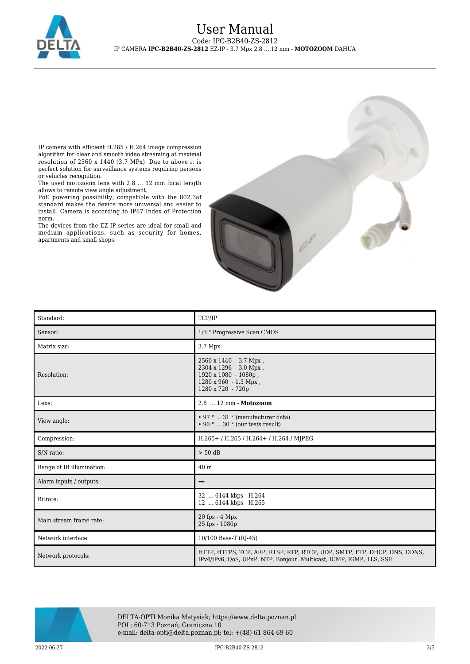

IP camera with efficient H.265 / H.264 image compression algorithm for clear and smooth video streaming at maximal resolution of 2560 x 1440 (3.7 MPx). Due to above it is perfect solution for surveillance systems requiring persons or vehicles recognition.

The used motozoom lens with 2.8 ... 12 mm focal length allows to remote view angle adjustment.

PoE powering possibility, compatible with the 802.3af standard makes the device more universal and easier to install. Camera is according to IP67 Index of Protection norm.

The devices from the EZ-IP series are ideal for small and medium applications, such as security for homes, apartments and small shops.



| Standard:                 | TCP/IP                                                                                                                                          |
|---------------------------|-------------------------------------------------------------------------------------------------------------------------------------------------|
| Sensor:                   | 1/3 " Progressive Scan CMOS                                                                                                                     |
| Matrix size:              | 3.7 Mpx                                                                                                                                         |
| Resolution:               | 2560 x 1440 - 3.7 Mpx,<br>2304 x 1296 - 3.0 Mpx,<br>1920 x 1080 - 1080p,<br>1280 x 960 - 1.3 Mpx,<br>1280 x 720 - 720p                          |
| Lens:                     | 2.8  12 mm - Motozoom                                                                                                                           |
| View angle:               | • 97 °  31 ° (manufacturer data)<br>$\cdot$ 90 °  30 ° (our tests result)                                                                       |
| Compression:              | H.265+/H.265/H.264+/H.264/MJPEG                                                                                                                 |
| S/N ratio:                | $> 50$ dB                                                                                                                                       |
| Range of IR illumination: | 40 <sub>m</sub>                                                                                                                                 |
| Alarm inputs / outputs:   |                                                                                                                                                 |
| Bitrate:                  | 32  6144 kbps - H.264<br>12  6144 kbps - H.265                                                                                                  |
| Main stream frame rate:   | $20$ fps $-4$ Mpx<br>25 fps - 1080p                                                                                                             |
| Network interface:        | 10/100 Base-T (RJ-45)                                                                                                                           |
| Network protocols:        | HTTP, HTTPS, TCP, ARP, RTSP, RTP, RTCP, UDP, SMTP, FTP, DHCP, DNS, DDNS,<br>IPv4/IPv6, QoS, UPnP, NTP, Bonjour, Multicast, ICMP, IGMP, TLS, SSH |



DELTA-OPTI Monika Matysiak; https://www.delta.poznan.pl POL; 60-713 Poznań; Graniczna 10 e-mail: delta-opti@delta.poznan.pl; tel: +(48) 61 864 69 60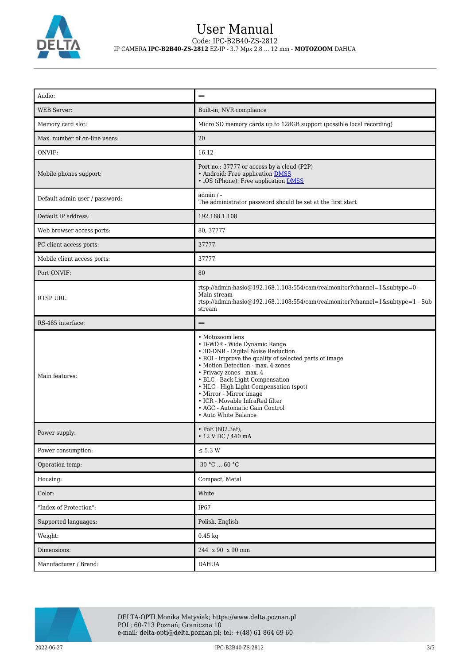

## User Manual Code: IPC-B2B40-ZS-2812 IP CAMERA **IPC-B2B40-ZS-2812** EZ-IP - 3.7 Mpx 2.8 ... 12 mm - **MOTOZOOM** DAHUA

| Audio:                         |                                                                                                                                                                                                                                                                                                                                                                                                                       |
|--------------------------------|-----------------------------------------------------------------------------------------------------------------------------------------------------------------------------------------------------------------------------------------------------------------------------------------------------------------------------------------------------------------------------------------------------------------------|
| <b>WEB Server:</b>             | Built-in, NVR compliance                                                                                                                                                                                                                                                                                                                                                                                              |
| Memory card slot:              | Micro SD memory cards up to 128GB support (possible local recording)                                                                                                                                                                                                                                                                                                                                                  |
| Max. number of on-line users:  | $20\,$                                                                                                                                                                                                                                                                                                                                                                                                                |
| ONVIF:                         | 16.12                                                                                                                                                                                                                                                                                                                                                                                                                 |
| Mobile phones support:         | Port no.: 37777 or access by a cloud (P2P)<br>• Android: Free application DMSS<br>• iOS (iPhone): Free application <b>DMSS</b>                                                                                                                                                                                                                                                                                        |
| Default admin user / password: | $admin / -$<br>The administrator password should be set at the first start                                                                                                                                                                                                                                                                                                                                            |
| Default IP address:            | 192.168.1.108                                                                                                                                                                                                                                                                                                                                                                                                         |
| Web browser access ports:      | 80, 37777                                                                                                                                                                                                                                                                                                                                                                                                             |
| PC client access ports:        | 37777                                                                                                                                                                                                                                                                                                                                                                                                                 |
| Mobile client access ports:    | 37777                                                                                                                                                                                                                                                                                                                                                                                                                 |
| Port ONVIF:                    | 80                                                                                                                                                                                                                                                                                                                                                                                                                    |
| RTSP URL:                      | rtsp://admin:hasło@192.168.1.108:554/cam/realmonitor?channel=1&subtype=0 -<br>Main stream<br>rtsp://admin:haslo@192.168.1.108:554/cam/realmonitor?channel=1&subtype=1 - Sub<br>stream                                                                                                                                                                                                                                 |
| RS-485 interface:              |                                                                                                                                                                                                                                                                                                                                                                                                                       |
| Main features:                 | • Motozoom lens<br>• D-WDR - Wide Dynamic Range<br>• 3D-DNR - Digital Noise Reduction<br>• ROI - improve the quality of selected parts of image<br>• Motion Detection - max. 4 zones<br>· Privacy zones - max. 4<br>• BLC - Back Light Compensation<br>• HLC - High Light Compensation (spot)<br>• Mirror - Mirror image<br>• ICR - Movable InfraRed filter<br>• AGC - Automatic Gain Control<br>• Auto White Balance |
| Power supply:                  | • PoE $(802.3af)$ ,<br>$\cdot$ 12 V DC / 440 mA                                                                                                                                                                                                                                                                                                                                                                       |
| Power consumption:             | $\leq$ 5.3 W                                                                                                                                                                                                                                                                                                                                                                                                          |
| Operation temp:                | -30 °C $\ldots$ 60 °C                                                                                                                                                                                                                                                                                                                                                                                                 |
| Housing:                       | Compact, Metal                                                                                                                                                                                                                                                                                                                                                                                                        |
| Color:                         | White                                                                                                                                                                                                                                                                                                                                                                                                                 |
| "Index of Protection":         | $IP67$                                                                                                                                                                                                                                                                                                                                                                                                                |
| Supported languages:           | Polish, English                                                                                                                                                                                                                                                                                                                                                                                                       |
| Weight:                        | $0.45$ kg                                                                                                                                                                                                                                                                                                                                                                                                             |
| Dimensions:                    | 244 x 90 x 90 mm                                                                                                                                                                                                                                                                                                                                                                                                      |
| Manufacturer / Brand:          | <b>DAHUA</b>                                                                                                                                                                                                                                                                                                                                                                                                          |

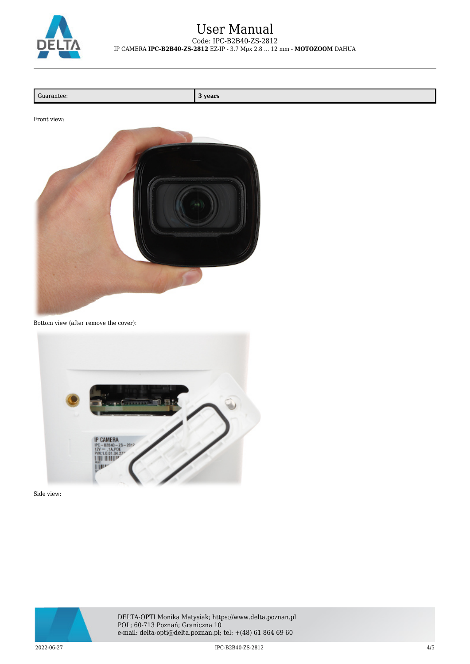

### User Manual Code: IPC-B2B40-ZS-2812 IP CAMERA **IPC-B2B40-ZS-2812** EZ-IP - 3.7 Mpx 2.8 ... 12 mm - **MOTOZOOM** DAHUA

| Guarantee: |
|------------|
|------------|

**3 years** 





Bottom view (after remove the cover):



Side view:



DELTA-OPTI Monika Matysiak; https://www.delta.poznan.pl POL; 60-713 Poznań; Graniczna 10 e-mail: delta-opti@delta.poznan.pl; tel: +(48) 61 864 69 60

2022-06-27 IPC-B2B40-ZS-2812 4/5